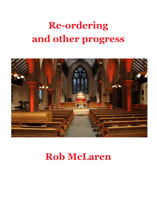## Re-ordering and other progress



## Rob McLaren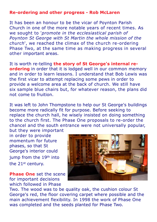## Re-ordering and other progress - Rob McLaren

It has been an honour to be the vicar of Poynton Parish Church in one of the more notable years of recent times. As we sought to 'promote in the ecclesiastical parish of Poynton St George with St Martin the whole mission of the church', we reached the climax of the church re-ordering Phase Two, at the same time as making progress in several other important areas.

It is worth re-telling the story of St George's internal reordering in order that it is lodged well in our common memory and in order to learn lessons. I understand that Bob Lewis was the first vicar to attempt replacing some pews in order to provide a welcome area at the back of church. We still have six sample blue chairs but, for whatever reason, the plans did not come to fruition.

It was left to John Thompstone to help our St George's buildings become more radically fit for purpose. Before seeking to replace the church hall, he wisely insisted on doing something to the church first. The Phase One proposals to re-order the chancel and the south entrance were not universally popular,

but they were important in order to provide momentum for future phases, so that St George's interior could jump from the 19<sup>th</sup> into the 21<sup>st</sup> century.

**Phase One set the scene** for important decisions which followed in Phase



Two. The wood was to be quality oak, the cushion colour St George's red, the floor covering carpet where possible and the main achievement flexibility. In 1998 the work of Phase One was completed and the seeds planted for Phase Two.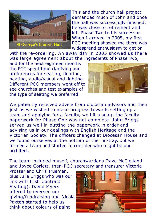

This and the church hall project demanded much of John and once the hall was successfully finished, he was close to retirement and left Phase Two to his successor. When I arrived in 2005, my first PCC meeting showed me there was widespread enthusiasm to get on

with the re-ordering. An away day in 2005 showed us there was large agreement about the ingredients of Phase Two,

and for the next eighteen months the PCC spent time clarifying our preferences for seating, flooring, heating, audio/visual and lighting. Different PCC members went off to see churches and test examples of the type of seating we preferred.



We patiently received advice from diocesan advisors and then just as we wished to make progress towards setting up a team and applying for a faculty, we hit a snag: the faculty paperwork for Phase One was not complete. John Briggs served us well in putting the paperwork in order and advising us in our dealings with English Heritage and the Victorian Society. The officers changed at Diocesan House and we found ourselves at the bottom of their in-tray, but we formed a team and started to consider who might be our architect.

The team included myself, churchwardens Dave McClelland and Joyce Corlett, then-PCC secretary and treasurer Victoria

Prosser and Chris Trueman, plus Julie Briggs who was our link with Irish Contract Seating). David Myers offered to oversee our giving/fundraising and Nicola Paxton started to help us think about colours of paint

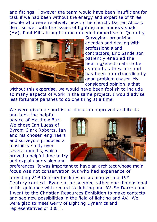and fittings. However the team would have been insufficient for task if we had been without the energy and expertise of three people who were relatively new to the church. Darren Allcock dealt so well with the issues of lighting and audio/visuals (AV), Paul Mills brought much needed expertise in Quantity



Surveying, organizing agendas and dealing with professionals and contractors, Eric Sanderson patiently enabled the heating/electricals to be as good as they are and has been an extraordinarily good problem chaser. My considered opinion is that

without this expertise, we would have been foolish to include so many aspects of work in the same project. I would advise less fortunate parishes to do one thing at a time.

We were given a shortlist of diocesan approved architects

and took the helpful advice of Matthew Burl. We chose Ian Lucas of Byrom Clark Roberts. Ian and his chosen engineers and surveyors produced a feasibility study over several months, which proved a helpful time to try and explain our vision and



preferences. It was important to have an architect whose main focus was not conservation but who had experience of providing 215t Century facilities in keeping with a 19th Century context. Even so, he seemed rather one dimensional in his guidance with regard to lighting and AV. So Darren and I went to the Christian Resources Exhibition to make contacts and see new possibilities in the field of lighting and AV. We were glad to meet Gerry of Lighting Dynamics and representatives of B & H.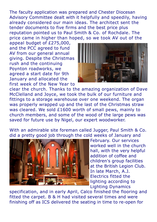The faculty application was prepared and Chester Diocesan Advisory Committee dealt with it helpfully and speedily, having already considered our main ideas. The architect sent the tender documents to five firms and the best price plus reputation pointed us to Paul Smith & Co. of Rochdale. The price came in higher than hoped, so we took AV out of the

appeal budget of £275,000, and the PCC agreed to fund AV from our general annual giving. Despite the Christmas rush and the continuing Poynton roadworks, we agreed a start date for 9th January and allocated the first week of the New Year to



clear the church. Thanks to the amazing organization of Dave McClelland and Joyce, we took the bulk of our furniture and fittings to a storage warehouse over one weekend. The organ was properly wrapped up and the last of the Christmas straw was cleared. We sold £1600 worth of small pews, mainly to church members, and some of the wood of the large pews was saved for future use by Nigel, our expert woodworker.

With an admirable site foreman called Jugger, Paul Smith & Co. did a pretty good job through the cold weeks of January and



February. Our services worked well in the church hall, with the very helpful addition of coffee and children's group facilities at the British Legion Club. In late March, A.J. Electrics fitted the lighting according to Lighting Dynamics

specification, and in early April, Calco finished the flooring and fitted the carpet. B & H had visited several times and were finishing off as ICS delivered the seating in time to re-open for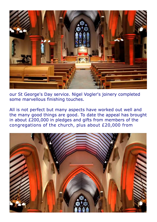

our St George's Day service. Nigel Vogler's joinery completed some marvellous finishing touches.

All is not perfect but many aspects have worked out well and the many good things are good. To date the appeal has brought in about £200,000 in pledges and gifts from members of the congregations of the church, plus about £20,000 from

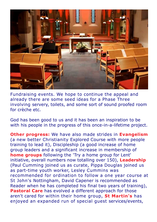

Fundraising events. We hope to continue the appeal and already there are some seed ideas for a Phase Three involving servery, toilets, and some sort of sound proofed room for crèche etc.

God has been good to us and it has been an inspiration to be with his people in the progress of this once-in-a-lifetime project.

**Other progress:** We have also made strides in Evangelism (a new better Christianity Explored Course with more people training to lead it), Discipleship (a good increase of home group leaders and a significant increase in membership of home groups following the 'Try a home group for Lent' initiative, overall numbers now totalling over 150), Leadership (Paul Cumming joined us as curate, Pippa Douglas joined us as part-time youth worker, Lesley Cummins was recommended for ordination to follow a one year course at St John's Nottingham, David Capener is recommended as Reader when he has completed his final two years of training), Pastoral Care has evolved a different approach for those aren't cared for within their home group, St Martin's has enjoyed an expanded run of special guest services/events,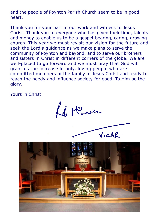and the people of Poynton Parish Church seem to be in good heart.

Thank you for your part in our work and witness to Jesus Christ. Thank you to everyone who has given their time, talents and money to enable us to be a gospel-bearing, caring, growing church. This year we must revisit our vision for the future and seek the Lord's guidance as we make plans to serve the community of Poynton and beyond, and to serve our brothers and sisters in Christ in different corners of the globe. We are well-placed to go forward and we must pray that God will grant us the increase in holy, loving people who are committed members of the family of Jesus Christ and ready to reach the needy and influence society for good. To Him be the glory.

Yours in Christ

Le Merover